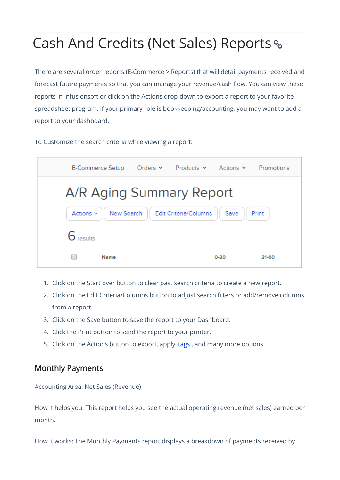# Cash And Credits (Net Sales) Reports

There are several order reports (E-Commerce > Reports) that will detail payments received and forecast future payments so that you can manage your revenue/cash flow. You can view these reports in Infusionsoft or click on the Actions drop-down to export a report to your favorite spreadsheet program. If your primary role is bookkeeping/accounting, you may want to add a report to your dashboard.

To Customize the search criteria while viewing a report:

| E-Commerce Setup                                                              |  | Orders $\vee$ Products $\vee$ Actions $\vee$ |          | Promotions |
|-------------------------------------------------------------------------------|--|----------------------------------------------|----------|------------|
| A/R Aging Summary Report                                                      |  |                                              |          |            |
| New Search<br><b>Edit Criteria/Columns</b><br>Save<br>Actions $\vee$<br>Print |  |                                              |          |            |
| roculto                                                                       |  |                                              |          |            |
| Name                                                                          |  |                                              | $0 - 30$ | $31 - 60$  |

- 1. Click on the Start over button to clear past search criteria to create a new report.
- 2. Click on the Edit Criteria/Columns button to adjust search filters or add/remove columns from a report.
- 3. Click on the Save button to save the report to your Dashboard.
- 4. Click the Print button to send the report to your printer.
- 5. Click on the Actions button to export, apply tags , and many more options.

### Monthly Payments

Accounting Area: Net Sales (Revenue)

How it helps you: This report helps you see the actual operating revenue (net sales) earned per month.

How it works: The Monthly Payments report displays a breakdown of payments received by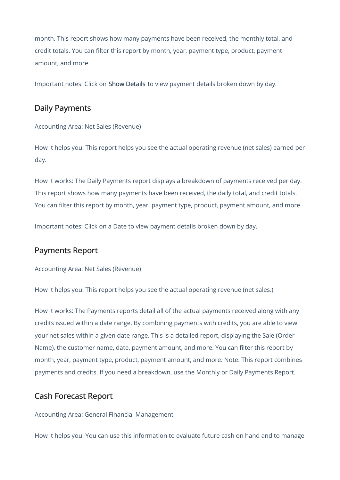month. This report shows how many payments have been received, the monthly total, and credit totals. You can filter this report by month, year, payment type, product, payment amount, and more.

Important notes: Click on Show Details to view payment details broken down by day.

## Daily Payments

Accounting Area: Net Sales (Revenue)

How it helps you: This report helps you see the actual operating revenue (net sales) earned per day.

How it works: The Daily Payments report displays a breakdown of payments received per day. This report shows how many payments have been received, the daily total, and credit totals. You can filter this report by month, year, payment type, product, payment amount, and more.

Important notes: Click on a Date to view payment details broken down by day.

#### Payments Report

Accounting Area: Net Sales (Revenue)

How it helps you: This report helps you see the actual operating revenue (net sales.)

How it works: The Payments reports detail all of the actual payments received along with any credits issued within a date range. By combining payments with credits, you are able to view your net sales within a given date range. This is a detailed report, displaying the Sale (Order Name), the customer name, date, payment amount, and more. You can filter this report by month, year, payment type, product, payment amount, and more. Note: This report combines payments and credits. If you need a breakdown, use the Monthly or Daily Payments Report.

#### Cash Forecast Report

Accounting Area: General Financial Management

How it helps you: You can use this information to evaluate future cash on hand and to manage